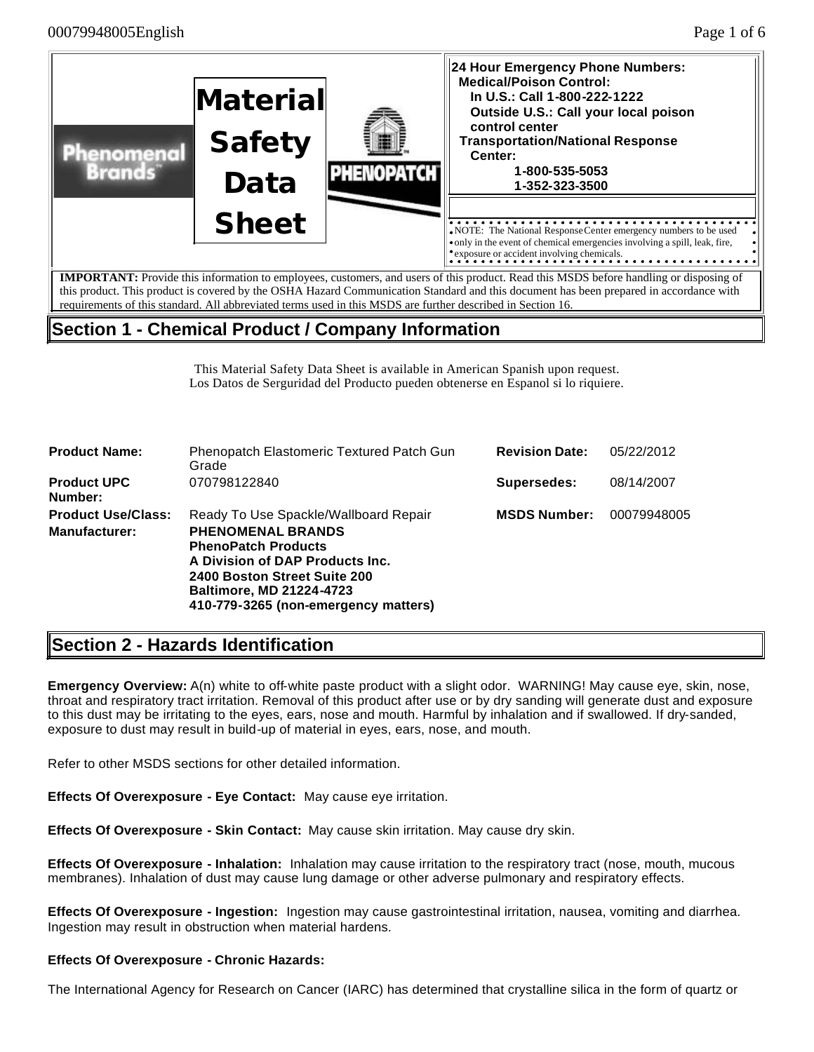

requirements of this standard. All abbreviated terms used in this MSDS are further described in Section 16.

# **Section 1 - Chemical Product / Company Information**

This Material Safety Data Sheet is available in American Spanish upon request. Los Datos de Serguridad del Producto pueden obtenerse en Espanol si lo riquiere.

| Phenopatch Elastomeric Textured Patch Gun<br>Grade                                                                                                                                                    | <b>Revision Date:</b>                | 05/22/2012  |
|-------------------------------------------------------------------------------------------------------------------------------------------------------------------------------------------------------|--------------------------------------|-------------|
| 070798122840                                                                                                                                                                                          | <b>Supersedes:</b>                   | 08/14/2007  |
| Ready To Use Spackle/Wallboard Repair<br><b>PHENOMENAL BRANDS</b><br><b>PhenoPatch Products</b><br>A Division of DAP Products Inc.<br>2400 Boston Street Suite 200<br><b>Baltimore, MD 21224-4723</b> | <b>MSDS Number:</b>                  | 00079948005 |
|                                                                                                                                                                                                       | 410-779-3265 (non-emergency matters) |             |

# **Section 2 - Hazards Identification**

**Emergency Overview:** A(n) white to off-white paste product with a slight odor. WARNING! May cause eye, skin, nose, throat and respiratory tract irritation. Removal of this product after use or by dry sanding will generate dust and exposure to this dust may be irritating to the eyes, ears, nose and mouth. Harmful by inhalation and if swallowed. If dry-sanded, exposure to dust may result in build-up of material in eyes, ears, nose, and mouth.

Refer to other MSDS sections for other detailed information.

**Effects Of Overexposure - Eye Contact:** May cause eye irritation.

**Effects Of Overexposure - Skin Contact:** May cause skin irritation. May cause dry skin.

**Effects Of Overexposure - Inhalation:** Inhalation may cause irritation to the respiratory tract (nose, mouth, mucous membranes). Inhalation of dust may cause lung damage or other adverse pulmonary and respiratory effects.

**Effects Of Overexposure - Ingestion:** Ingestion may cause gastrointestinal irritation, nausea, vomiting and diarrhea. Ingestion may result in obstruction when material hardens.

### **Effects Of Overexposure - Chronic Hazards:**

The International Agency for Research on Cancer (IARC) has determined that crystalline silica in the form of quartz or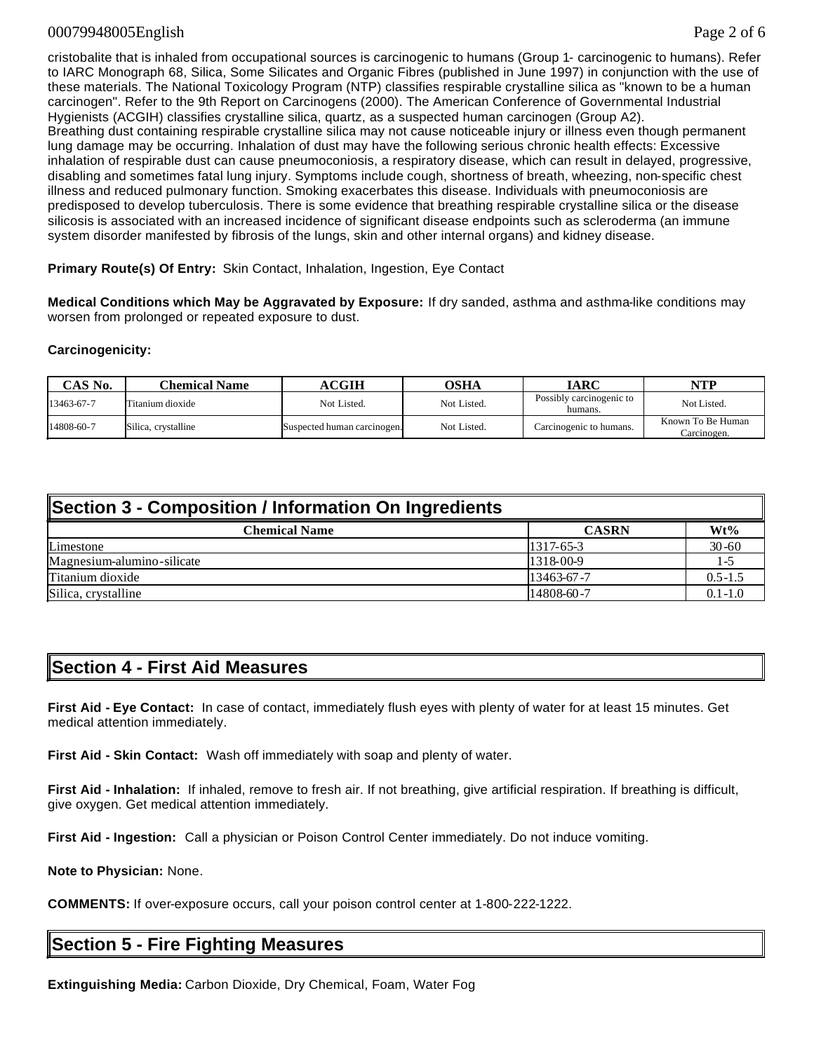### 00079948005English Page 2 of 6

cristobalite that is inhaled from occupational sources is carcinogenic to humans (Group 1- carcinogenic to humans). Refer to IARC Monograph 68, Silica, Some Silicates and Organic Fibres (published in June 1997) in conjunction with the use of these materials. The National Toxicology Program (NTP) classifies respirable crystalline silica as "known to be a human carcinogen". Refer to the 9th Report on Carcinogens (2000). The American Conference of Governmental Industrial Hygienists (ACGIH) classifies crystalline silica, quartz, as a suspected human carcinogen (Group A2). Breathing dust containing respirable crystalline silica may not cause noticeable injury or illness even though permanent lung damage may be occurring. Inhalation of dust may have the following serious chronic health effects: Excessive inhalation of respirable dust can cause pneumoconiosis, a respiratory disease, which can result in delayed, progressive, disabling and sometimes fatal lung injury. Symptoms include cough, shortness of breath, wheezing, non-specific chest illness and reduced pulmonary function. Smoking exacerbates this disease. Individuals with pneumoconiosis are predisposed to develop tuberculosis. There is some evidence that breathing respirable crystalline silica or the disease silicosis is associated with an increased incidence of significant disease endpoints such as scleroderma (an immune system disorder manifested by fibrosis of the lungs, skin and other internal organs) and kidney disease.

**Primary Route(s) Of Entry:** Skin Contact, Inhalation, Ingestion, Eye Contact

**Medical Conditions which May be Aggravated by Exposure:** If dry sanded, asthma and asthma-like conditions may worsen from prolonged or repeated exposure to dust.

### **Carcinogenicity:**

| CAS No.    | Chemical Name       | <b>ACGIH</b>                | <b>OSHA</b> | IARC                                | <b>NTP</b>                       |
|------------|---------------------|-----------------------------|-------------|-------------------------------------|----------------------------------|
| 13463-67-7 | Titanium dioxide    | Not Listed.                 | Not Listed. | Possibly carcinogenic to<br>humans. | Not Listed.                      |
| 14808-60-7 | Silica, crystalline | Suspected human carcinogen. | Not Listed. | Carcinogenic to humans.             | Known To Be Human<br>Carcinogen. |

| Section 3 - Composition / Information On Ingredients |              |             |  |  |
|------------------------------------------------------|--------------|-------------|--|--|
| <b>Chemical Name</b>                                 | <b>CASRN</b> | $Wt\%$      |  |  |
| Limestone                                            | $1317-65-3$  | $30 - 60$   |  |  |
| Magnesium-alumino-silicate                           | 1318-00-9    | 1-5         |  |  |
| Titanium dioxide                                     | 13463-67-7   | $0.5 - 1.5$ |  |  |
| Silica, crystalline                                  | 14808-60-7   | $0.1 - 1.0$ |  |  |

## **Section 4 - First Aid Measures**

**First Aid - Eye Contact:** In case of contact, immediately flush eyes with plenty of water for at least 15 minutes. Get medical attention immediately.

**First Aid - Skin Contact:** Wash off immediately with soap and plenty of water.

**First Aid - Inhalation:** If inhaled, remove to fresh air. If not breathing, give artificial respiration. If breathing is difficult, give oxygen. Get medical attention immediately.

**First Aid - Ingestion:** Call a physician or Poison Control Center immediately. Do not induce vomiting.

**Note to Physician:** None.

**COMMENTS:** If over-exposure occurs, call your poison control center at 1-800-222-1222.

# **Section 5 - Fire Fighting Measures**

**Extinguishing Media:** Carbon Dioxide, Dry Chemical, Foam, Water Fog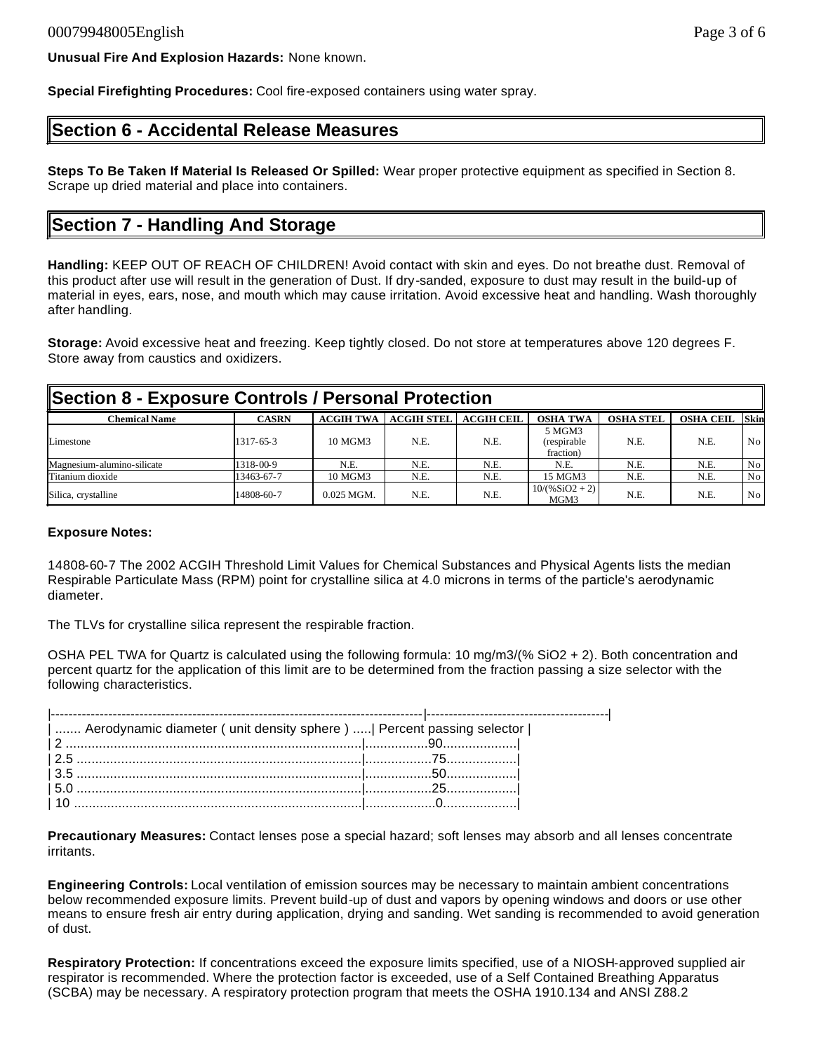**Unusual Fire And Explosion Hazards:** None known.

**Special Firefighting Procedures:** Cool fire-exposed containers using water spray.

## **Section 6 - Accidental Release Measures**

**Steps To Be Taken If Material Is Released Or Spilled:** Wear proper protective equipment as specified in Section 8. Scrape up dried material and place into containers.

## **Section 7 - Handling And Storage**

**Handling:** KEEP OUT OF REACH OF CHILDREN! Avoid contact with skin and eyes. Do not breathe dust. Removal of this product after use will result in the generation of Dust. If dry-sanded, exposure to dust may result in the build-up of material in eyes, ears, nose, and mouth which may cause irritation. Avoid excessive heat and handling. Wash thoroughly after handling.

**Storage:** Avoid excessive heat and freezing. Keep tightly closed. Do not store at temperatures above 120 degrees F. Store away from caustics and oxidizers.

| Section 8 - Exposure Controls / Personal Protection |              |                  |                   |                   |                                    |                  |                  |                 |
|-----------------------------------------------------|--------------|------------------|-------------------|-------------------|------------------------------------|------------------|------------------|-----------------|
| <b>Chemical Name</b>                                | <b>CASRN</b> | <b>ACGIH TWA</b> | <b>ACGIH STEL</b> | <b>ACGIH CEIL</b> | <b>OSHA TWA</b>                    | <b>OSHA STEL</b> | <b>OSHA CEIL</b> | Skin            |
| Limestone                                           | 1317-65-3    | 10 MGM3          | N.E.              | N.E.              | 5 MGM3<br>(respirable<br>fraction) | N.E.             | N.E.             | No <sub>1</sub> |
| Magnesium-alumino-silicate                          | 1318-00-9    | N.E.             | N.E.              | N.E.              | N.E.                               | N.E.             | N.E.             | No <sub>1</sub> |
| Titanium dioxide                                    | 13463-67-7   | 10 MGM3          | N.E.              | N.E.              | 15 MGM3                            | N.E.             | N.E.             | No <sub>1</sub> |
| Silica, crystalline                                 | 14808-60-7   | $0.025$ MGM.     | N.E.              | N.E.              | $10/(%SiO2 + 2)$<br>MGM3           | N.E.             | N.E.             | No <sub>1</sub> |

### **Exposure Notes:**

14808-60-7 The 2002 ACGIH Threshold Limit Values for Chemical Substances and Physical Agents lists the median Respirable Particulate Mass (RPM) point for crystalline silica at 4.0 microns in terms of the particle's aerodynamic diameter.

The TLVs for crystalline silica represent the respirable fraction.

OSHA PEL TWA for Quartz is calculated using the following formula: 10 mg/m3/(% SiO2 + 2). Both concentration and percent quartz for the application of this limit are to be determined from the fraction passing a size selector with the following characteristics.

| Aerodynamic diameter ( unit density sphere )    Percent passing selector |  |
|--------------------------------------------------------------------------|--|
|                                                                          |  |
|                                                                          |  |
|                                                                          |  |
|                                                                          |  |
|                                                                          |  |

**Precautionary Measures:** Contact lenses pose a special hazard; soft lenses may absorb and all lenses concentrate irritants.

**Engineering Controls:** Local ventilation of emission sources may be necessary to maintain ambient concentrations below recommended exposure limits. Prevent build-up of dust and vapors by opening windows and doors or use other means to ensure fresh air entry during application, drying and sanding. Wet sanding is recommended to avoid generation of dust.

**Respiratory Protection:** If concentrations exceed the exposure limits specified, use of a NIOSH-approved supplied air respirator is recommended. Where the protection factor is exceeded, use of a Self Contained Breathing Apparatus (SCBA) may be necessary. A respiratory protection program that meets the OSHA 1910.134 and ANSI Z88.2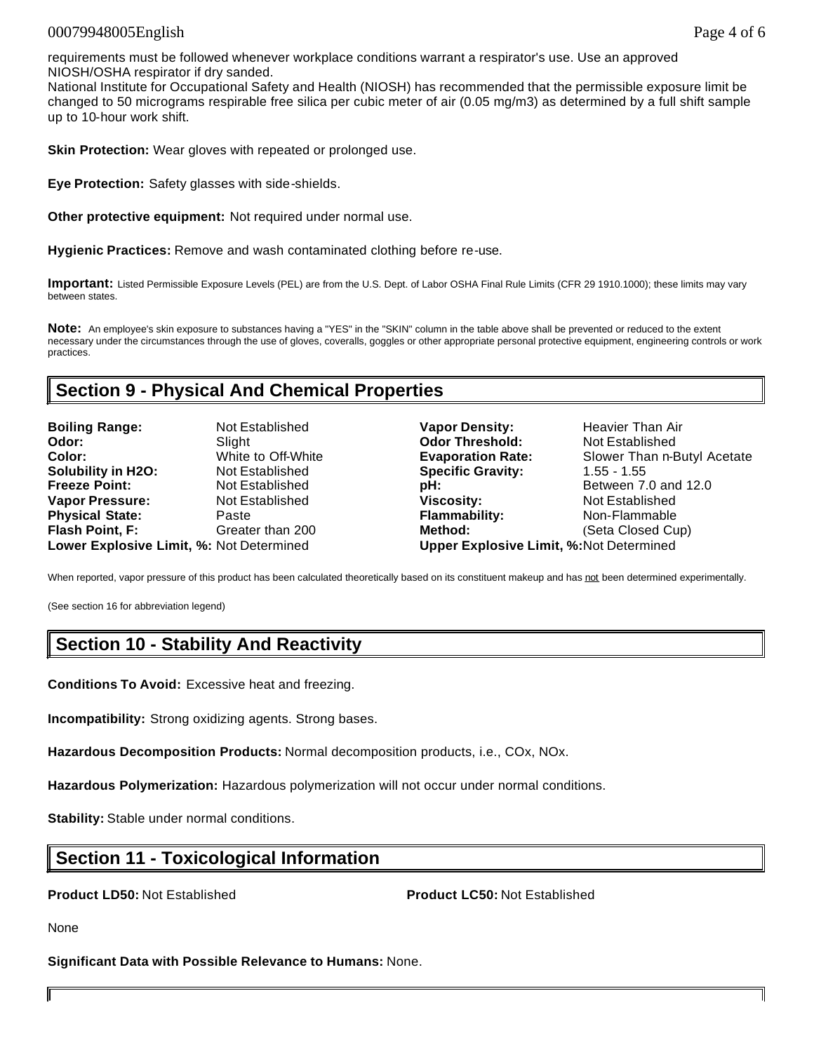### 00079948005English Page 4 of 6

requirements must be followed whenever workplace conditions warrant a respirator's use. Use an approved NIOSH/OSHA respirator if dry sanded.

National Institute for Occupational Safety and Health (NIOSH) has recommended that the permissible exposure limit be changed to 50 micrograms respirable free silica per cubic meter of air (0.05 mg/m3) as determined by a full shift sample up to 10-hour work shift.

**Skin Protection:** Wear gloves with repeated or prolonged use.

**Eye Protection:** Safety glasses with side-shields.

**Other protective equipment:** Not required under normal use.

**Hygienic Practices:** Remove and wash contaminated clothing before re-use.

**Important:** Listed Permissible Exposure Levels (PEL) are from the U.S. Dept. of Labor OSHA Final Rule Limits (CFR 29 1910.1000); these limits may vary between states.

**Note:** An employee's skin exposure to substances having a "YES" in the "SKIN" column in the table above shall be prevented or reduced to the extent necessary under the circumstances through the use of gloves, coveralls, goggles or other appropriate personal protective equipment, engineering controls or work practices.

## **Section 9 - Physical And Chemical Properties**

| <b>Boiling Range:</b>                    | Not Established    | V٤ |
|------------------------------------------|--------------------|----|
| Odor:                                    | Slight             | Οo |
| Color:                                   | White to Off-White | Е٧ |
| <b>Solubility in H2O:</b>                | Not Established    | Sr |
| <b>Freeze Point:</b>                     | Not Established    | pŀ |
| <b>Vapor Pressure:</b>                   | Not Established    | Vi |
| <b>Physical State:</b>                   | Paste              | Fŀ |
| Flash Point, F:                          | Greater than 200   | M  |
| Lower Explosive Limit, %: Not Determined |                    | Ur |

**Boiling Ranger Density:** Heavier Than Air **dor Threshold: Not Established Colorization Rate: Coloring Contract Slower Than n-Butyl Acetate Solubility:** 1.55 - 1.55 - 1.55 **Freeze Freeze Point: Between 7.0 and 12.0 Scosity: Vice Pressure Pressure Pressure Pressure Pressure Pressure Pressure Pressure Pressure Pressure Pressure Pressure Pressure Pressure Pressure Pressure Pressure Pressure Pressure Pressure Pressure Pressure Pressur Physical External** *Show* **Remainsdance Remainsdance Properties Figure 1.1.** Figure than 200 **C** (Seta Closed Cup) **Lower Explosive Limit, %:** Not Determined **Upper Explosive Limit, %:**Not Determined

When reported, vapor pressure of this product has been calculated theoretically based on its constituent makeup and has not been determined experimentally.

(See section 16 for abbreviation legend)

## **Section 10 - Stability And Reactivity**

**Conditions To Avoid:** Excessive heat and freezing.

**Incompatibility:** Strong oxidizing agents. Strong bases.

**Hazardous Decomposition Products:** Normal decomposition products, i.e., COx, NOx.

**Hazardous Polymerization:** Hazardous polymerization will not occur under normal conditions.

**Stability:** Stable under normal conditions.

## **Section 11 - Toxicological Information**

**Product LD50:** Not Established **Product LC50:** Not Established

None

**Significant Data with Possible Relevance to Humans:** None.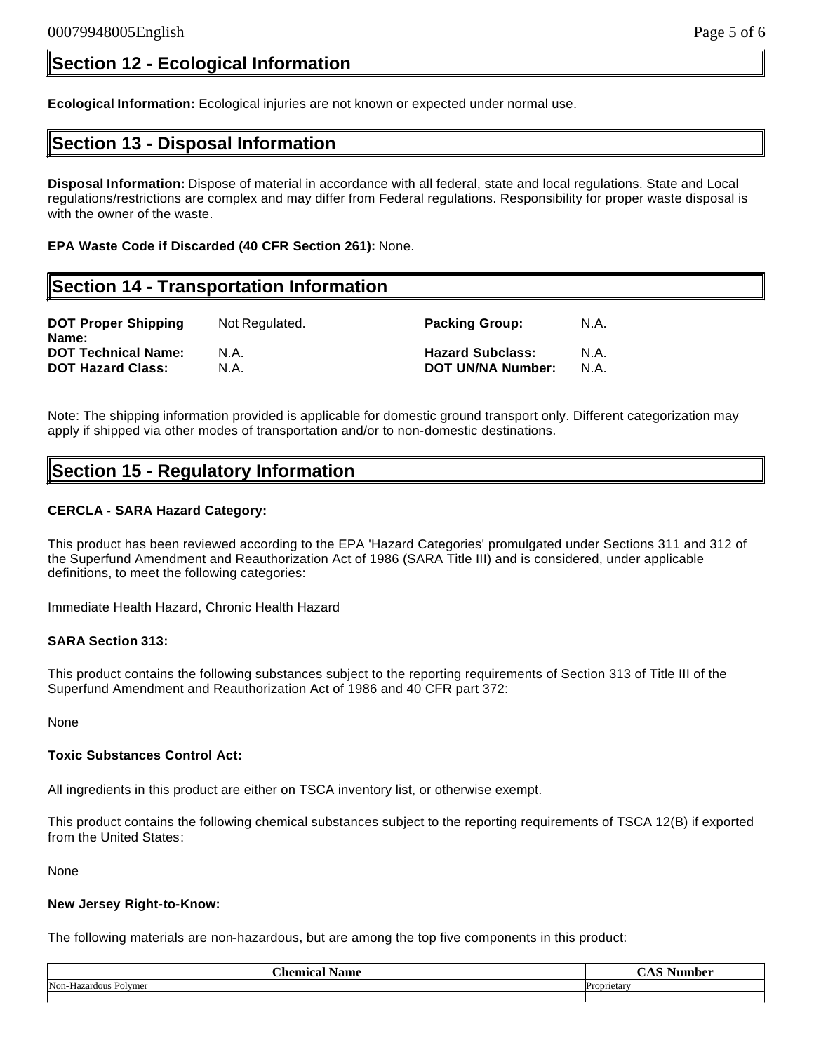**Ecological Information:** Ecological injuries are not known or expected under normal use.

## **Section 13 - Disposal Information**

**Disposal Information:** Dispose of material in accordance with all federal, state and local regulations. State and Local regulations/restrictions are complex and may differ from Federal regulations. Responsibility for proper waste disposal is with the owner of the waste.

**EPA Waste Code if Discarded (40 CFR Section 261):** None.

## **Section 14 - Transportation Information**

| <b>DOT Proper Shipping</b><br>Name: | Not Regulated. | <b>Packing Group:</b>    | N.A. |
|-------------------------------------|----------------|--------------------------|------|
| <b>DOT Technical Name:</b>          | N.A.           | <b>Hazard Subclass:</b>  | N.A  |
| <b>DOT Hazard Class:</b>            | N.A.           | <b>DOT UN/NA Number:</b> | N.A  |

Note: The shipping information provided is applicable for domestic ground transport only. Different categorization may apply if shipped via other modes of transportation and/or to non-domestic destinations.

## **Section 15 - Regulatory Information**

### **CERCLA - SARA Hazard Category:**

This product has been reviewed according to the EPA 'Hazard Categories' promulgated under Sections 311 and 312 of the Superfund Amendment and Reauthorization Act of 1986 (SARA Title III) and is considered, under applicable definitions, to meet the following categories:

Immediate Health Hazard, Chronic Health Hazard

### **SARA Section 313:**

This product contains the following substances subject to the reporting requirements of Section 313 of Title III of the Superfund Amendment and Reauthorization Act of 1986 and 40 CFR part 372:

None

### **Toxic Substances Control Act:**

All ingredients in this product are either on TSCA inventory list, or otherwise exempt.

This product contains the following chemical substances subject to the reporting requirements of TSCA 12(B) if exported from the United States:

None

### **New Jersey Right-to-Know:**

The following materials are non-hazardous, but are among the top five components in this product:

| ~-<br>'hamiag<br><b>Name</b><br>∟aı | $\sim$<br>ıha L |
|-------------------------------------|-----------------|
| Non-Hazardous Polymer               | Proprietary     |
|                                     |                 |